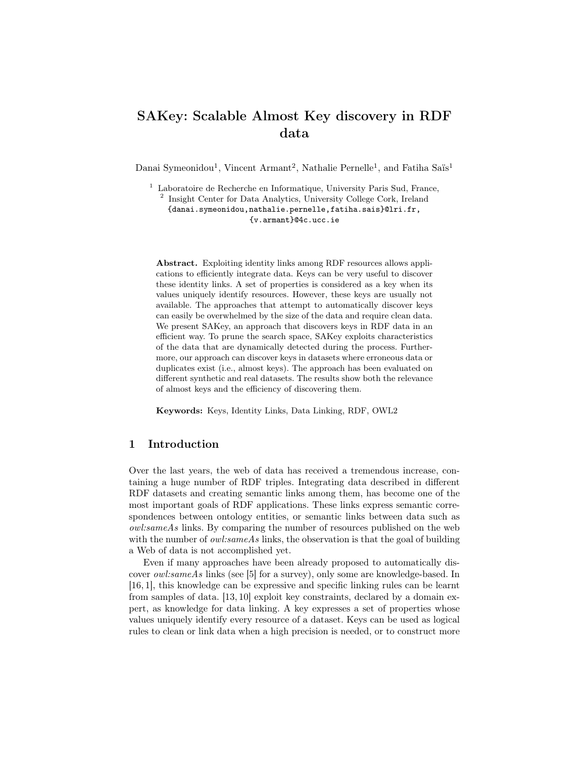# SAKey: Scalable Almost Key discovery in RDF data

Danai Symeonidou<sup>1</sup>, Vincent Armant<sup>2</sup>, Nathalie Pernelle<sup>1</sup>, and Fatiha Saïs<sup>1</sup>

<sup>1</sup> Laboratoire de Recherche en Informatique, University Paris Sud, France,

<sup>2</sup> Insight Center for Data Analytics, University College Cork, Ireland {danai.symeonidou,nathalie.pernelle,fatiha.sais}@lri.fr, {v.armant}@4c.ucc.ie

Abstract. Exploiting identity links among RDF resources allows applications to efficiently integrate data. Keys can be very useful to discover these identity links. A set of properties is considered as a key when its values uniquely identify resources. However, these keys are usually not available. The approaches that attempt to automatically discover keys can easily be overwhelmed by the size of the data and require clean data. We present SAKey, an approach that discovers keys in RDF data in an efficient way. To prune the search space, SAKey exploits characteristics of the data that are dynamically detected during the process. Furthermore, our approach can discover keys in datasets where erroneous data or duplicates exist (i.e., almost keys). The approach has been evaluated on different synthetic and real datasets. The results show both the relevance of almost keys and the efficiency of discovering them.

Keywords: Keys, Identity Links, Data Linking, RDF, OWL2

# 1 Introduction

Over the last years, the web of data has received a tremendous increase, containing a huge number of RDF triples. Integrating data described in different RDF datasets and creating semantic links among them, has become one of the most important goals of RDF applications. These links express semantic correspondences between ontology entities, or semantic links between data such as owl:sameAs links. By comparing the number of resources published on the web with the number of *owl:sameAs* links, the observation is that the goal of building a Web of data is not accomplished yet.

Even if many approaches have been already proposed to automatically discover owl:sameAs links (see [5] for a survey), only some are knowledge-based. In [16, 1], this knowledge can be expressive and specific linking rules can be learnt from samples of data. [13, 10] exploit key constraints, declared by a domain expert, as knowledge for data linking. A key expresses a set of properties whose values uniquely identify every resource of a dataset. Keys can be used as logical rules to clean or link data when a high precision is needed, or to construct more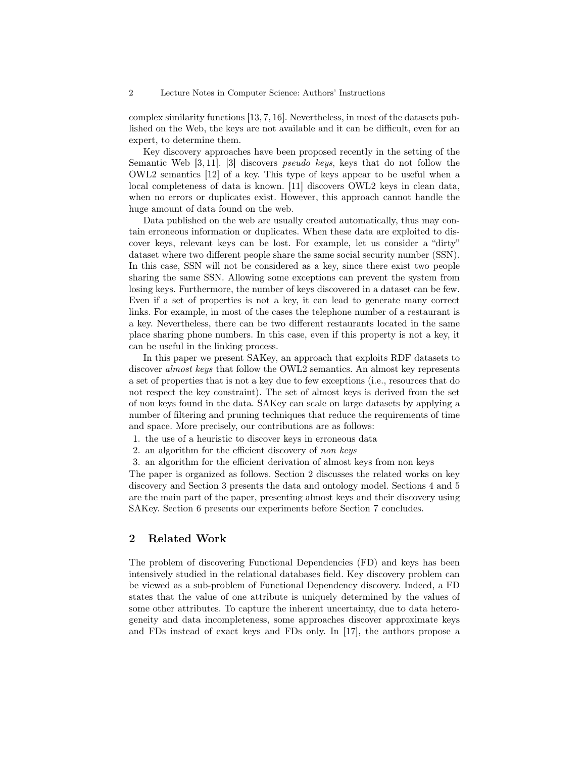complex similarity functions [13, 7, 16]. Nevertheless, in most of the datasets published on the Web, the keys are not available and it can be difficult, even for an expert, to determine them.

Key discovery approaches have been proposed recently in the setting of the Semantic Web [3, 11]. [3] discovers pseudo keys, keys that do not follow the OWL2 semantics [12] of a key. This type of keys appear to be useful when a local completeness of data is known. [11] discovers OWL2 keys in clean data, when no errors or duplicates exist. However, this approach cannot handle the huge amount of data found on the web.

Data published on the web are usually created automatically, thus may contain erroneous information or duplicates. When these data are exploited to discover keys, relevant keys can be lost. For example, let us consider a "dirty" dataset where two different people share the same social security number (SSN). In this case, SSN will not be considered as a key, since there exist two people sharing the same SSN. Allowing some exceptions can prevent the system from losing keys. Furthermore, the number of keys discovered in a dataset can be few. Even if a set of properties is not a key, it can lead to generate many correct links. For example, in most of the cases the telephone number of a restaurant is a key. Nevertheless, there can be two different restaurants located in the same place sharing phone numbers. In this case, even if this property is not a key, it can be useful in the linking process.

In this paper we present SAKey, an approach that exploits RDF datasets to discover almost keys that follow the OWL2 semantics. An almost key represents a set of properties that is not a key due to few exceptions (i.e., resources that do not respect the key constraint). The set of almost keys is derived from the set of non keys found in the data. SAKey can scale on large datasets by applying a number of filtering and pruning techniques that reduce the requirements of time and space. More precisely, our contributions are as follows:

- 1. the use of a heuristic to discover keys in erroneous data
- 2. an algorithm for the efficient discovery of non keys
- 3. an algorithm for the efficient derivation of almost keys from non keys

The paper is organized as follows. Section 2 discusses the related works on key discovery and Section 3 presents the data and ontology model. Sections 4 and 5 are the main part of the paper, presenting almost keys and their discovery using SAKey. Section 6 presents our experiments before Section 7 concludes.

# 2 Related Work

The problem of discovering Functional Dependencies (FD) and keys has been intensively studied in the relational databases field. Key discovery problem can be viewed as a sub-problem of Functional Dependency discovery. Indeed, a FD states that the value of one attribute is uniquely determined by the values of some other attributes. To capture the inherent uncertainty, due to data heterogeneity and data incompleteness, some approaches discover approximate keys and FDs instead of exact keys and FDs only. In [17], the authors propose a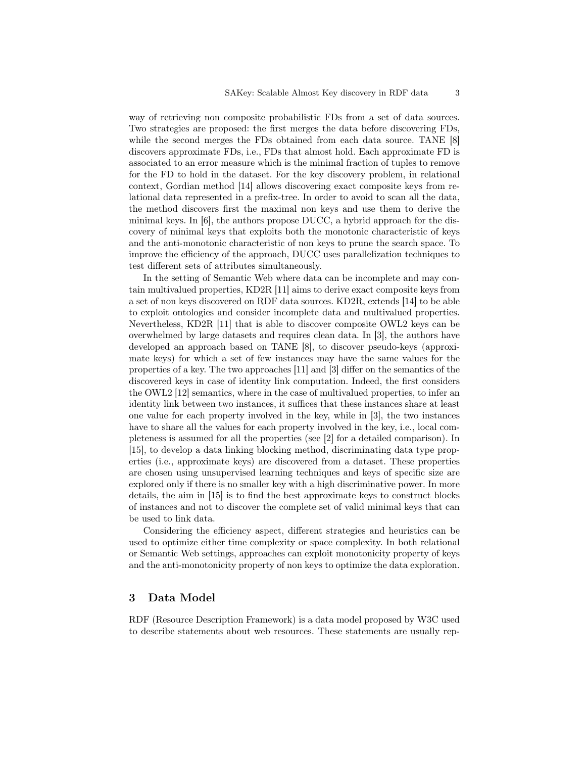way of retrieving non composite probabilistic FDs from a set of data sources. Two strategies are proposed: the first merges the data before discovering FDs, while the second merges the FDs obtained from each data source. TANE [8] discovers approximate FDs, i.e., FDs that almost hold. Each approximate FD is associated to an error measure which is the minimal fraction of tuples to remove for the FD to hold in the dataset. For the key discovery problem, in relational context, Gordian method [14] allows discovering exact composite keys from relational data represented in a prefix-tree. In order to avoid to scan all the data, the method discovers first the maximal non keys and use them to derive the minimal keys. In [6], the authors propose DUCC, a hybrid approach for the discovery of minimal keys that exploits both the monotonic characteristic of keys and the anti-monotonic characteristic of non keys to prune the search space. To improve the efficiency of the approach, DUCC uses parallelization techniques to test different sets of attributes simultaneously.

In the setting of Semantic Web where data can be incomplete and may contain multivalued properties, KD2R [11] aims to derive exact composite keys from a set of non keys discovered on RDF data sources. KD2R, extends [14] to be able to exploit ontologies and consider incomplete data and multivalued properties. Nevertheless, KD2R [11] that is able to discover composite OWL2 keys can be overwhelmed by large datasets and requires clean data. In [3], the authors have developed an approach based on TANE [8], to discover pseudo-keys (approximate keys) for which a set of few instances may have the same values for the properties of a key. The two approaches [11] and [3] differ on the semantics of the discovered keys in case of identity link computation. Indeed, the first considers the OWL2 [12] semantics, where in the case of multivalued properties, to infer an identity link between two instances, it suffices that these instances share at least one value for each property involved in the key, while in [3], the two instances have to share all the values for each property involved in the key, i.e., local completeness is assumed for all the properties (see [2] for a detailed comparison). In [15], to develop a data linking blocking method, discriminating data type properties (i.e., approximate keys) are discovered from a dataset. These properties are chosen using unsupervised learning techniques and keys of specific size are explored only if there is no smaller key with a high discriminative power. In more details, the aim in [15] is to find the best approximate keys to construct blocks of instances and not to discover the complete set of valid minimal keys that can be used to link data.

Considering the efficiency aspect, different strategies and heuristics can be used to optimize either time complexity or space complexity. In both relational or Semantic Web settings, approaches can exploit monotonicity property of keys and the anti-monotonicity property of non keys to optimize the data exploration.

## 3 Data Model

RDF (Resource Description Framework) is a data model proposed by W3C used to describe statements about web resources. These statements are usually rep-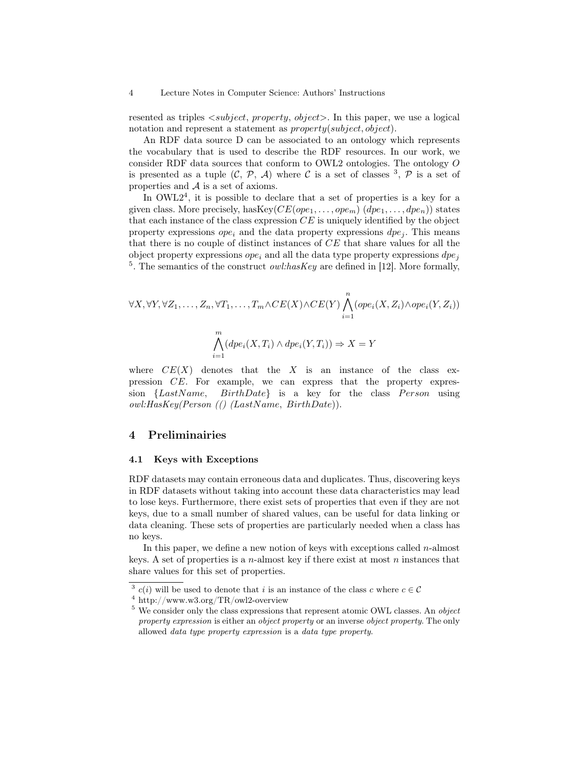resented as triples  $\langle subject, property, object \rangle$ . In this paper, we use a logical notation and represent a statement as *property(subject, object)*.

An RDF data source D can be associated to an ontology which represents the vocabulary that is used to describe the RDF resources. In our work, we consider RDF data sources that conform to OWL2 ontologies. The ontology O is presented as a tuple  $(C, \mathcal{P}, \mathcal{A})$  where C is a set of classes  $^3$ ,  $\mathcal{P}$  is a set of properties and A is a set of axioms.

In  $\text{OWL2}^4$ , it is possible to declare that a set of properties is a key for a given class. More precisely, has  $Key(CE(op_{1}, \ldots, op_{m})$   $(dp_{1}, \ldots, dp_{n})$  states that each instance of the class expression  $CE$  is uniquely identified by the object property expressions  $ope_i$  and the data property expressions  $\text{d}pe_i$ . This means that there is no couple of distinct instances of CE that share values for all the object property expressions  $ope_i$  and all the data type property expressions  $\text{d}pe_i$ <sup>5</sup>. The semantics of the construct *owl:hasKey* are defined in [12]. More formally,

$$
\forall X, \forall Y, \forall Z_1, \dots, Z_n, \forall T_1, \dots, T_m \land CE(X) \land CE(Y) \bigwedge_{i=1}^n (ope_i(X, Z_i) \land ope_i(Y, Z_i))
$$

$$
\bigwedge_{i=1}^m (dpe_i(X, T_i) \land dpe_i(Y, T_i)) \Rightarrow X = Y
$$

where  $CE(X)$  denotes that the X is an instance of the class expression CE. For example, we can express that the property expression  ${LastName, BirthDate}$  is a key for the class  $Person$  using  $owl: HasKey(Person (f) (LastName, BirthDate)).$ 

# 4 Preliminairies

#### 4.1 Keys with Exceptions

RDF datasets may contain erroneous data and duplicates. Thus, discovering keys in RDF datasets without taking into account these data characteristics may lead to lose keys. Furthermore, there exist sets of properties that even if they are not keys, due to a small number of shared values, can be useful for data linking or data cleaning. These sets of properties are particularly needed when a class has no keys.

In this paper, we define a new notion of keys with exceptions called  $n$ -almost keys. A set of properties is a *n*-almost key if there exist at most *n* instances that share values for this set of properties.

<sup>&</sup>lt;sup>3</sup>  $c(i)$  will be used to denote that *i* is an instance of the class *c* where  $c \in \mathcal{C}$ 

<sup>4</sup> http://www.w3.org/TR/owl2-overview

<sup>&</sup>lt;sup>5</sup> We consider only the class expressions that represent atomic OWL classes. An *object* property expression is either an object property or an inverse object property. The only allowed data type property expression is a data type property.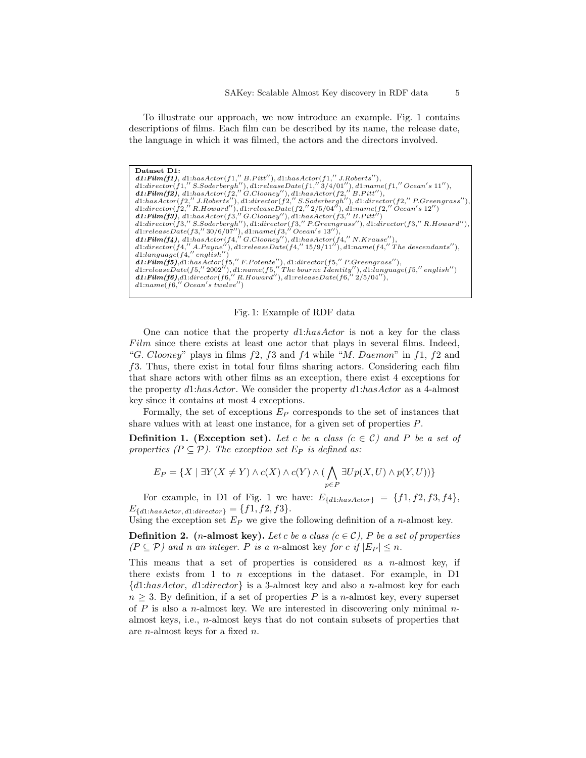To illustrate our approach, we now introduce an example. Fig. 1 contains descriptions of films. Each film can be described by its name, the release date, the language in which it was filmed, the actors and the directors involved.

| Dataset D1:                                                                                                  |
|--------------------------------------------------------------------------------------------------------------|
| $d1: Film(f1), d1: has Actor(f1," B.Pitt''), d1: has Actor(f1," J. Roberts''),$                              |
| $d1: director(f1," S.Soderberg h''), d1: releaseDate(f1," 3/4/01''), d1: name(f1," Ocean's 11''),$           |
| $d1: Film(f2), d1: has Actor(f2," G. Clooney''), d1: has Actor(f2," B. Pitt''),$                             |
| $d1: has Actor(f2," J. Roberts''), d1: director(f2," S. Soderberg h''), d1: director(f2," P. Greengrass''),$ |
| $d1: director(f2," R. Howard''), d1: releaseDate(f2," 2/5/04''), d1: name(f2," Ocean's 12'')$                |
| $d1: Film(f3), d1: has Actor(f3," G. Clooney''), d1: has Actor(f3," B. Pitt''')$                             |
| $d1: director(f3," S.Soderbergh''), d1: director(f3," P.Greengrass''), d1: director(f3," R.Howard''),$       |
| $d1: releaseDate(f3," 30/6/07''), d1: name(f3," Ocean's 13''),$                                              |
| $d1: Film(f4), d1: has Actor(f4," G. Clooney''), d1: has Actor(f4," N.Krause''),$                            |
| $d1: director(f4,'' A.Payne'), d1: releaseDate(f4,' '15/9/11''), d1: name(f4,'' The descendants''),$         |
| d1: language(f4,''analysis'')                                                                                |
| $d1: Film(f5), d1: has Actor(f5," F.Potente''), d1: director(f5," P.Green grass''),$                         |
| $d1: releaseDate(f5,''2002''), d1: name(f5,''The\ bounce\ Identity''), d1: language(f5,''english'')$         |
| $d1: Film(f6), d1: director(f6," R. Howard''), d1: releaseDate(f6," 2/5/04''),$                              |
| d1: name(f6,'' Ocean's twelve'')                                                                             |
|                                                                                                              |

#### Fig. 1: Example of RDF data

One can notice that the property  $d1:hasActor$  is not a key for the class  $Film$  since there exists at least one actor that plays in several films. Indeed, "G. Clooney" plays in films  $f2$ ,  $f3$  and  $f4$  while "M. Daemon" in  $f1$ ,  $f2$  and f3. Thus, there exist in total four films sharing actors. Considering each film that share actors with other films as an exception, there exist 4 exceptions for the property d1:hasActor. We consider the property d1:hasActor as a 4-almost key since it contains at most 4 exceptions.

Formally, the set of exceptions  $E_P$  corresponds to the set of instances that share values with at least one instance, for a given set of properties  $P$ .

**Definition 1.** (Exception set). Let c be a class  $(c \in C)$  and P be a set of properties  $(P \subseteq P)$ . The exception set  $E_P$  is defined as:

$$
E_P = \{ X \mid \exists Y (X \neq Y) \land c(X) \land c(Y) \land (\bigwedge_{p \in P} \exists Up(X, U) \land p(Y, U)) \}
$$

For example, in D1 of Fig. 1 we have:  $E_{\{d1:hasActor\}} = \{f1, f2, f3, f4\},\$  $E_{\{d1:hasActor, d1:director\}} = \{f1, f2, f3\}.$ 

Using the exception set  $E_P$  we give the following definition of a *n*-almost key.

**Definition 2.** (*n*-almost key). Let c be a class ( $c \in C$ ), P be a set of properties  $(P \subseteq P)$  and n an integer. P is a n-almost key for c if  $|E_P| \leq n$ .

This means that a set of properties is considered as a  $n$ -almost key, if there exists from 1 to  $n$  exceptions in the dataset. For example, in D1  ${d1:hasActor, d1:director}$  is a 3-almost key and also a *n*-almost key for each  $n \geq 3$ . By definition, if a set of properties P is a n-almost key, every superset of P is also a n-almost key. We are interested in discovering only minimal  $n$ almost keys, i.e., n-almost keys that do not contain subsets of properties that are n-almost keys for a fixed n.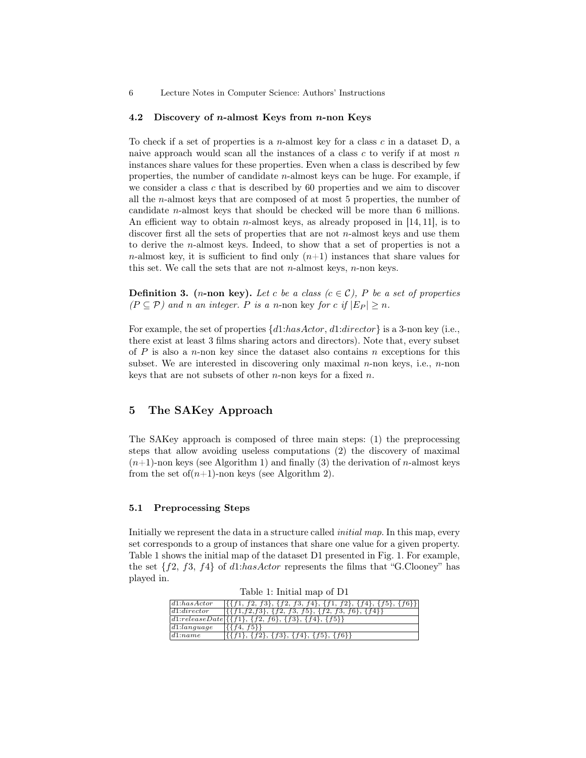#### 4.2 Discovery of n-almost Keys from n-non Keys

To check if a set of properties is a *n*-almost key for a class  $c$  in a dataset D, a naive approach would scan all the instances of a class  $c$  to verify if at most  $n$ instances share values for these properties. Even when a class is described by few properties, the number of candidate  $n$ -almost keys can be huge. For example, if we consider a class  $c$  that is described by 60 properties and we aim to discover all the n-almost keys that are composed of at most 5 properties, the number of candidate n-almost keys that should be checked will be more than 6 millions. An efficient way to obtain *n*-almost keys, as already proposed in [14, 11], is to discover first all the sets of properties that are not  $n$ -almost keys and use them to derive the n-almost keys. Indeed, to show that a set of properties is not a n-almost key, it is sufficient to find only  $(n+1)$  instances that share values for this set. We call the sets that are not *n*-almost keys, *n*-non keys.

**Definition 3.** (*n*-non key). Let c be a class  $(c \in \mathcal{C})$ , P be a set of properties  $(P \subseteq P)$  and n an integer. P is a n-non key for c if  $|E_P| \ge n$ .

For example, the set of properties  $\{d1:hasActor, d1:director\}$  is a 3-non key (i.e., there exist at least 3 films sharing actors and directors). Note that, every subset of  $P$  is also a n-non key since the dataset also contains  $n$  exceptions for this subset. We are interested in discovering only maximal  $n$ -non keys, i.e.,  $n$ -non keys that are not subsets of other  $n$ -non keys for a fixed  $n$ .

# 5 The SAKey Approach

The SAKey approach is composed of three main steps: (1) the preprocessing steps that allow avoiding useless computations (2) the discovery of maximal  $(n+1)$ -non keys (see Algorithm 1) and finally (3) the derivation of *n*-almost keys from the set of  $(n+1)$ -non keys (see Algorithm 2).

#### 5.1 Preprocessing Steps

Initially we represent the data in a structure called initial map. In this map, every set corresponds to a group of instances that share one value for a given property. Table 1 shows the initial map of the dataset D1 presented in Fig. 1. For example, the set  $\{f2, f3, f4\}$  of d1:has Actor represents the films that "G.Clooney" has played in.

| d1: has Actor | $\{\{f1, f2, f3\}, \{f2, f3, f4\}, \{f1, f2\}, \{f4\}, \{f5\}, \{f6\}\}\$ |
|---------------|---------------------------------------------------------------------------|
| d1: director  | $\{\{f1,f2,f3\},\{f2,f3,f5\},\{f2,f3,f6\},\{f4\}\}\$                      |
|               | d1:releaseDate { { $f1$ }, { $f2$ , $f6$ }, { $f3$ }, { $f4$ }, { $f5$ }} |
| d1: language  | $\{\{\{f4, f5\}\}\}\$                                                     |
| $d1$ :name    | $\{\{f1\}, \{f2\}, \{f3\}, \{f4\}, \{f5\}, \{f6\}\}\$                     |

Table 1: Initial map of D1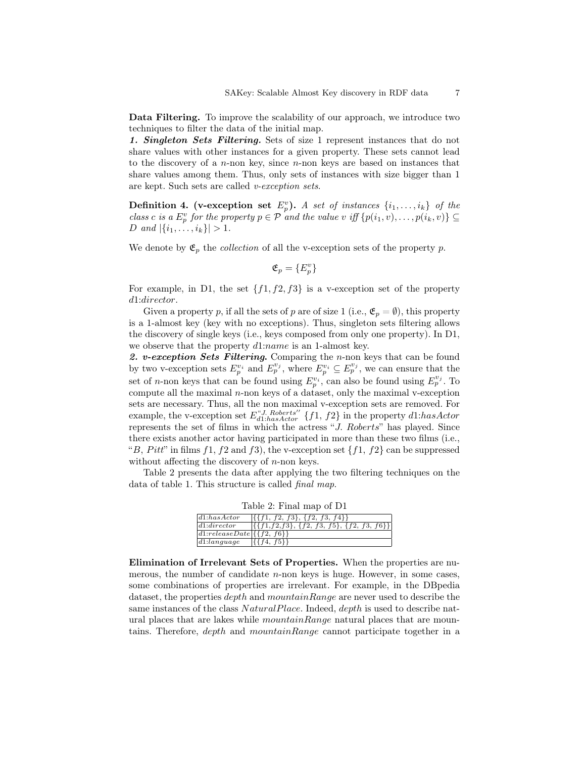Data Filtering. To improve the scalability of our approach, we introduce two techniques to filter the data of the initial map.

1. Singleton Sets Filtering. Sets of size 1 represent instances that do not share values with other instances for a given property. These sets cannot lead to the discovery of a  $n$ -non key, since  $n$ -non keys are based on instances that share values among them. Thus, only sets of instances with size bigger than 1 are kept. Such sets are called v-exception sets.

**Definition 4.** (v-exception set  $E_p^v$ ). A set of instances  $\{i_1, \ldots, i_k\}$  of the class c is a  $E_p^v$  for the property  $p \in \mathcal{P}$  and the value v iff  $\{p(i_1, v), \ldots, p(i_k, v)\} \subseteq$ D and  $|\{i_1, \ldots, i_k\}| > 1$ .

We denote by  $\mathfrak{E}_p$  the *collection* of all the v-exception sets of the property p.

$$
\mathfrak{E}_p = \{E_p^v\}
$$

For example, in D1, the set  $\{f1, f2, f3\}$  is a v-exception set of the property d1:director.

Given a property p, if all the sets of p are of size 1 (i.e.,  $\mathfrak{E}_p = \emptyset$ ), this property is a 1-almost key (key with no exceptions). Thus, singleton sets filtering allows the discovery of single keys (i.e., keys composed from only one property). In D1, we observe that the property  $d1$ :*name* is an 1-almost key.

2. v-exception Sets Filtering. Comparing the n-non keys that can be found by two v-exception sets  $E_p^{v_i}$  and  $E_p^{v_j}$ , where  $E_p^{v_i} \subseteq E_p^{v_j}$ , we can ensure that the set of *n*-non keys that can be found using  $E_p^{v_i}$ , can also be found using  $E_p^{v_j}$ . To compute all the maximal  $n$ -non keys of a dataset, only the maximal v-exception sets are necessary. Thus, all the non maximal v-exception sets are removed. For example, the v-exception set  $E_{d1:hasActor}^{sJ. \; Roberts''}$  {f1, f2} in the property d1:hasActor represents the set of films in which the actress "J. Roberts" has played. Since there exists another actor having participated in more than these two films (i.e., "B, Pitt" in films  $f1$ ,  $f2$  and  $f3$ ), the v-exception set  $\{f1, f2\}$  can be suppressed without affecting the discovery of  $n$ -non keys.

Table 2 presents the data after applying the two filtering techniques on the data of table 1. This structure is called final map.

Table 2: Final map of D1

| d1: has Actor                  | $\{\{f1, f2, f3\}, \{f2, f3, f4\}\}\$                            |
|--------------------------------|------------------------------------------------------------------|
| d1:director                    | $\vert \{ \{f1,f2,f3\}, \{f2, f3, f5\}, \{f2, f3, f6\} \} \vert$ |
| $d1: releaseDate \$ \{f2, f6\} |                                                                  |
| $d1:$ language                 | $\{\{f4, f5\}\}\$                                                |

Elimination of Irrelevant Sets of Properties. When the properties are numerous, the number of candidate  $n$ -non keys is huge. However, in some cases, some combinations of properties are irrelevant. For example, in the DBpedia dataset, the properties *depth* and *mountainRange* are never used to describe the same instances of the class NaturalPlace. Indeed, depth is used to describe natural places that are lakes while *mountainRange* natural places that are mountains. Therefore, depth and mountainRange cannot participate together in a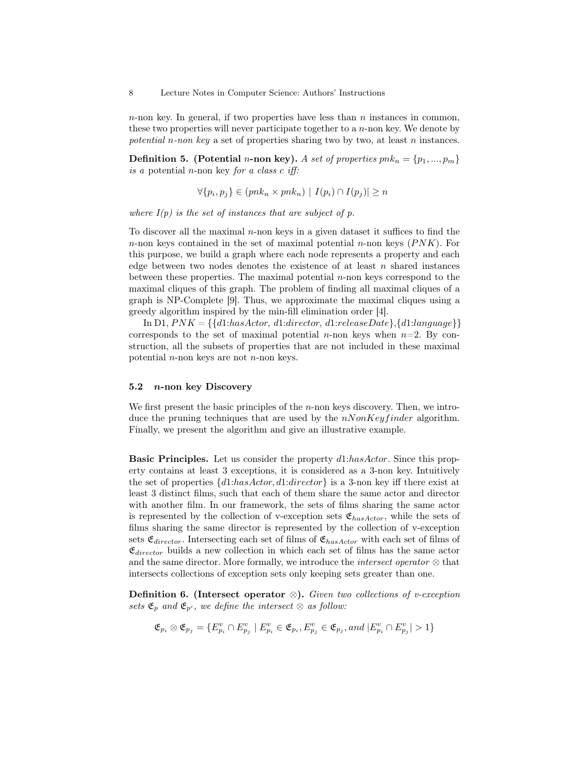$n$ -non key. In general, if two properties have less than n instances in common, these two properties will never participate together to a  $n$ -non key. We denote by potential n-non key a set of properties sharing two by two, at least n instances.

**Definition 5.** (Potential *n*-non key). A set of properties  $pnk_n = \{p_1, ..., p_m\}$ is a potential *n*-non key for a class c iff:

$$
\forall \{p_i, p_j\} \in (pnk_n \times pnk_n) \mid I(p_i) \cap I(p_j)| \ge n
$$

where  $I(p)$  is the set of instances that are subject of p.

To discover all the maximal  $n$ -non keys in a given dataset it suffices to find the n-non keys contained in the set of maximal potential n-non keys  $(PNK)$ . For this purpose, we build a graph where each node represents a property and each edge between two nodes denotes the existence of at least  $n$  shared instances between these properties. The maximal potential  $n$ -non keys correspond to the maximal cliques of this graph. The problem of finding all maximal cliques of a graph is NP-Complete [9]. Thus, we approximate the maximal cliques using a greedy algorithm inspired by the min-fill elimination order [4].

In D1,  $PNK = \{\{d1: has Actor, d1: director, d1: releaseDate\}, \{d1: language\}\}\$ corresponds to the set of maximal potential n-non keys when  $n=2$ . By construction, all the subsets of properties that are not included in these maximal potential  $n$ -non keys are not  $n$ -non keys.

#### 5.2 n-non key Discovery

We first present the basic principles of the  $n$ -non keys discovery. Then, we introduce the pruning techniques that are used by the  $nNonKeyfinder$  algorithm. Finally, we present the algorithm and give an illustrative example.

Basic Principles. Let us consider the property d1:hasActor. Since this property contains at least 3 exceptions, it is considered as a 3-non key. Intuitively the set of properties  $\{d1:hasActor, d1:director\}$  is a 3-non key iff there exist at least 3 distinct films, such that each of them share the same actor and director with another film. In our framework, the sets of films sharing the same actor is represented by the collection of v-exception sets  $\mathfrak{E}_{hasActor}$ , while the sets of films sharing the same director is represented by the collection of v-exception sets  $\mathfrak{E}_{\textit{directory}}$ . Intersecting each set of films of  $\mathfrak{E}_{\textit{hasAction}}$  with each set of films of  $\mathfrak{E}_{\text{directory}}$  builds a new collection in which each set of films has the same actor and the same director. More formally, we introduce the *intersect operator*  $\otimes$  that intersects collections of exception sets only keeping sets greater than one.

Definition 6. (Intersect operator  $\otimes$ ). Given two collections of v-exception sets  $\mathfrak{E}_p$  and  $\mathfrak{E}_{p'}$ , we define the intersect  $\otimes$  as follow:

$$
\mathfrak{E}_{p_i} \otimes \mathfrak{E}_{p_j} = \{ E_{p_i}^v \cap E_{p_j}^v \mid E_{p_i}^v \in \mathfrak{E}_{p_i}, E_{p_j}^v \in \mathfrak{E}_{p_j}, and \, |E_{p_i}^v \cap E_{p_j}^v| > 1 \}
$$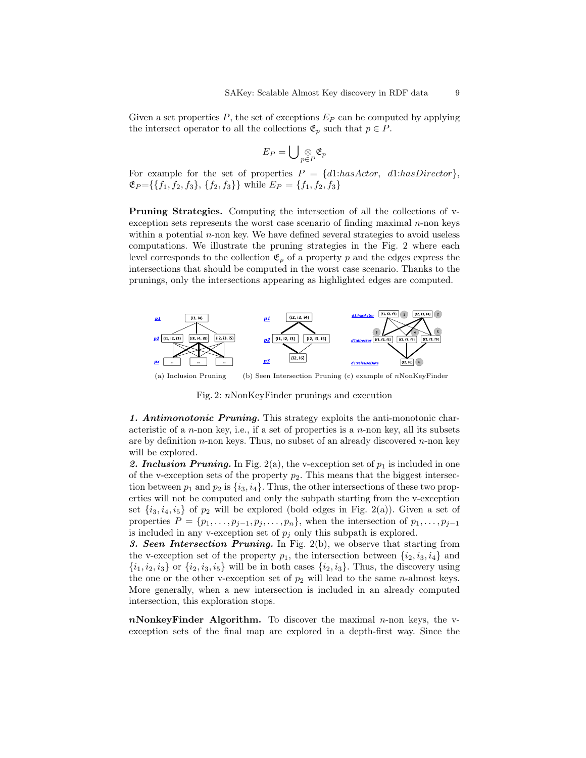Given a set properties  $P$ , the set of exceptions  $E_P$  can be computed by applying the intersect operator to all the collections  $\mathfrak{E}_p$  such that  $p \in P$ .

$$
E_P=\bigcup\nolimits_{p\in P} \mathfrak{E}_p
$$

For example for the set of properties  $P = \{d1: hasActor, d1:hasDirector\},\$  $\mathfrak{E}_P = \{\{f_1, f_2, f_3\}, \{f_2, f_3\}\}\$  while  $E_P = \{f_1, f_2, f_3\}$ 

Pruning Strategies. Computing the intersection of all the collections of vexception sets represents the worst case scenario of finding maximal  $n$ -non keys within a potential  $n$ -non key. We have defined several strategies to avoid useless computations. We illustrate the pruning strategies in the Fig. 2 where each level corresponds to the collection  $\mathfrak{E}_p$  of a property p and the edges express the intersections that should be computed in the worst case scenario. Thanks to the prunings, only the intersections appearing as highlighted edges are computed.



(a) Inclusion Pruning (b) Seen Intersection Pruning (c) example of nNonKeyFinder

Fig. 2: nNonKeyFinder prunings and execution

1. Antimonotonic Pruning. This strategy exploits the anti-monotonic characteristic of a n-non key, i.e., if a set of properties is a n-non key, all its subsets are by definition  $n$ -non keys. Thus, no subset of an already discovered  $n$ -non key will be explored.

2. Inclusion Pruning. In Fig. 2(a), the v-exception set of  $p_1$  is included in one of the v-exception sets of the property  $p_2$ . This means that the biggest intersection between  $p_1$  and  $p_2$  is  $\{i_3, i_4\}$ . Thus, the other intersections of these two properties will not be computed and only the subpath starting from the v-exception set  $\{i_3, i_4, i_5\}$  of  $p_2$  will be explored (bold edges in Fig. 2(a)). Given a set of properties  $P = \{p_1, \ldots, p_{j-1}, p_j, \ldots, p_n\}$ , when the intersection of  $p_1, \ldots, p_{j-1}$ is included in any v-exception set of  $p_i$  only this subpath is explored.

3. Seen Intersection Pruning. In Fig. 2(b), we observe that starting from the v-exception set of the property  $p_1$ , the intersection between  $\{i_2, i_3, i_4\}$  and  $\{i_1, i_2, i_3\}$  or  $\{i_2, i_3, i_5\}$  will be in both cases  $\{i_2, i_3\}$ . Thus, the discovery using the one or the other v-exception set of  $p_2$  will lead to the same *n*-almost keys. More generally, when a new intersection is included in an already computed intersection, this exploration stops.

nNonkeyFinder Algorithm. To discover the maximal n-non keys, the vexception sets of the final map are explored in a depth-first way. Since the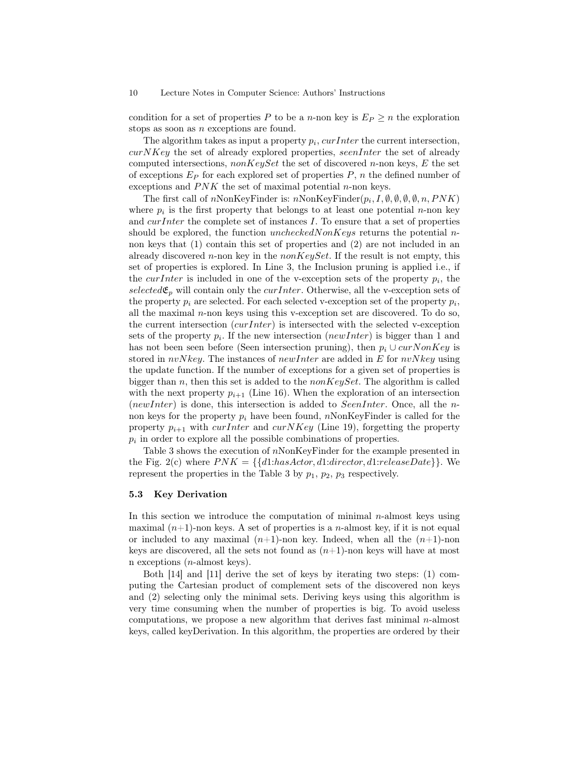condition for a set of properties P to be a n-non key is  $E_P \ge n$  the exploration stops as soon as *n* exceptions are found.

The algorithm takes as input a property  $p_i$ ,  $\textit{curl}$  at the current intersection,  $curNKey$  the set of already explored properties, seenInter the set of already computed intersections,  $nonKeySet$  the set of discovered n-non keys,  $E$  the set of exceptions  $E_P$  for each explored set of properties  $P$ , n the defined number of exceptions and  $PNK$  the set of maximal potential *n*-non keys.

The first call of  $n$ NonKeyFinder is:  $n$ NonKeyFinder $(p_i, I, \emptyset, \emptyset, \emptyset, \emptyset, n, PNK)$ where  $p_i$  is the first property that belongs to at least one potential *n*-non key and curInter the complete set of instances I. To ensure that a set of properties should be explored, the function unchecked NonKeys returns the potential nnon keys that (1) contain this set of properties and (2) are not included in an already discovered n-non key in the  $nonKeySet$ . If the result is not empty, this set of properties is explored. In Line 3, the Inclusion pruning is applied i.e., if the *curInter* is included in one of the v-exception sets of the property  $p_i$ , the selected  $\mathfrak{E}_p$  will contain only the *curInter*. Otherwise, all the v-exception sets of the property  $p_i$  are selected. For each selected v-exception set of the property  $p_i$ , all the maximal  $n$ -non keys using this v-exception set are discovered. To do so, the current intersection (curInter) is intersected with the selected v-exception sets of the property  $p_i$ . If the new intersection (*newInter*) is bigger than 1 and has not been seen before (Seen intersection pruning), then  $p_i \cup curNonKey$  is stored in  $nvNkey$ . The instances of new Inter are added in E for  $nvNkey$  using the update function. If the number of exceptions for a given set of properties is bigger than n, then this set is added to the  $nonKeySet$ . The algorithm is called with the next property  $p_{i+1}$  (Line 16). When the exploration of an intersection (newInter) is done, this intersection is added to SeenInter. Once, all the nnon keys for the property  $p_i$  have been found, nNonKeyFinder is called for the property  $p_{i+1}$  with *curInter* and *curNKey* (Line 19), forgetting the property  $p_i$  in order to explore all the possible combinations of properties.

Table 3 shows the execution of nNonKeyFinder for the example presented in the Fig. 2(c) where  $PNK = \{\{d1: has Actor, d1: director, d1: releaseDate\}\}\.$  We represent the properties in the Table 3 by  $p_1$ ,  $p_2$ ,  $p_3$  respectively.

### 5.3 Key Derivation

In this section we introduce the computation of minimal  $n$ -almost keys using maximal  $(n+1)$ -non keys. A set of properties is a *n*-almost key, if it is not equal or included to any maximal  $(n+1)$ -non key. Indeed, when all the  $(n+1)$ -non keys are discovered, all the sets not found as  $(n+1)$ -non keys will have at most n exceptions (n-almost keys).

Both [14] and [11] derive the set of keys by iterating two steps: (1) computing the Cartesian product of complement sets of the discovered non keys and (2) selecting only the minimal sets. Deriving keys using this algorithm is very time consuming when the number of properties is big. To avoid useless computations, we propose a new algorithm that derives fast minimal  $n$ -almost keys, called keyDerivation. In this algorithm, the properties are ordered by their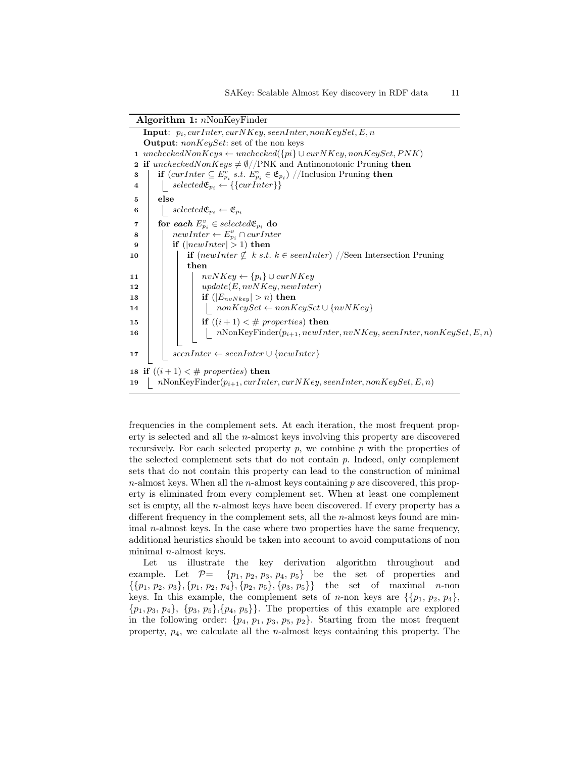Algorithm 1: nNonKeyFinder

|    | <b>Input</b> : $p_i, \text{curl}$ nter, $\text{curl}$ Key, seenInter, nonKeySet, E, n                                                                       |  |  |  |  |  |  |  |  |  |
|----|-------------------------------------------------------------------------------------------------------------------------------------------------------------|--|--|--|--|--|--|--|--|--|
|    | <b>Output:</b> $nonKeySet$ : set of the non keys                                                                                                            |  |  |  |  |  |  |  |  |  |
|    | 1 uncheckedNonKeys $\leftarrow$ unchecked $(\{pi\} \cup curNKey, nonKeySet, PNK)$                                                                           |  |  |  |  |  |  |  |  |  |
|    | <b>2 if</b> unchecked NonKeys $\neq \emptyset$ / PNK and Antimonotonic Pruning then                                                                         |  |  |  |  |  |  |  |  |  |
| 3  | <b>if</b> $\left(\text{curl}\text{ }n\text{ }t\text{ }e\subseteq E_{p_i}^v \text{ } s.t. E_{p_i}^v \in \mathfrak{E}_{p_i}\right) //$ Inclusion Pruning then |  |  |  |  |  |  |  |  |  |
| 4  | $selected \mathfrak{E}_{p_i} \leftarrow \{\{curInter\}\}\$                                                                                                  |  |  |  |  |  |  |  |  |  |
| 5  | else                                                                                                                                                        |  |  |  |  |  |  |  |  |  |
| 6  | $selected \mathfrak{E}_{p_i} \leftarrow \mathfrak{E}_{p_i}$                                                                                                 |  |  |  |  |  |  |  |  |  |
| 7  | for each $E_{p_i}^v \in selected \mathfrak{E}_{p_i}$ do                                                                                                     |  |  |  |  |  |  |  |  |  |
| 8  | $newInter \leftarrow E_{p_i}^v \cap curl\$ nter                                                                                                             |  |  |  |  |  |  |  |  |  |
| 9  | if ( $ newInter  > 1$ ) then                                                                                                                                |  |  |  |  |  |  |  |  |  |
| 10 | <b>if</b> $(newInter \nsubseteq k s.t. k \in seenInter) // Seen Intersection Pruning$                                                                       |  |  |  |  |  |  |  |  |  |
|    | then                                                                                                                                                        |  |  |  |  |  |  |  |  |  |
| 11 | $nvNKey \leftarrow \{p_i\} \cup curNKey$                                                                                                                    |  |  |  |  |  |  |  |  |  |
| 12 | update(E, nvNKey, newInter)                                                                                                                                 |  |  |  |  |  |  |  |  |  |
| 13 | if $( E_{nvNkey}  > n)$ then                                                                                                                                |  |  |  |  |  |  |  |  |  |
| 14 | $\lbrack \quad nonKeySet \leftarrow nonKeySet \cup \{nvNKey\}$                                                                                              |  |  |  |  |  |  |  |  |  |
| 15 | if $((i+1) < #$ properties) then                                                                                                                            |  |  |  |  |  |  |  |  |  |
| 16 | $n \textsc{NonKeyFinder}(p_{i+1}, newInter, nvNKey, seenInter, nonKeySet, E, n)$                                                                            |  |  |  |  |  |  |  |  |  |
| 17 | $seenInter \leftarrow seenInter \cup \{newInter\}$                                                                                                          |  |  |  |  |  |  |  |  |  |
|    | 18 if $((i+1) < #$ properties) then                                                                                                                         |  |  |  |  |  |  |  |  |  |
| 19 | $n$ NonKeyFinder $(p_{i+1}, \text{curl}$ nter, $\text{curl}$ Key, seenInter, nonKeySet, E, n)                                                               |  |  |  |  |  |  |  |  |  |
|    |                                                                                                                                                             |  |  |  |  |  |  |  |  |  |

frequencies in the complement sets. At each iteration, the most frequent property is selected and all the n-almost keys involving this property are discovered recursively. For each selected property  $p$ , we combine  $p$  with the properties of the selected complement sets that do not contain  $p$ . Indeed, only complement sets that do not contain this property can lead to the construction of minimal  $n$ -almost keys. When all the  $n$ -almost keys containing  $p$  are discovered, this property is eliminated from every complement set. When at least one complement set is empty, all the n-almost keys have been discovered. If every property has a different frequency in the complement sets, all the *n*-almost keys found are minimal n-almost keys. In the case where two properties have the same frequency, additional heuristics should be taken into account to avoid computations of non minimal  $n$ -almost keys.

Let us illustrate the key derivation algorithm throughout and example. Let  $\mathcal{P} = \{p_1, p_2, p_3, p_4, p_5\}$  be the set of properties and  $\{\{p_1, p_2, p_3\}, \{p_1, p_2, p_4\}, \{p_2, p_5\}, \{p_3, p_5\}\}\$  the set of maximal *n*-non keys. In this example, the complement sets of *n*-non keys are  $\{\{p_1, p_2, p_4\},\}$  $\{p_1, p_3, p_4\}, \{p_3, p_5\}, \{p_4, p_5\}\}.$  The properties of this example are explored in the following order:  $\{p_4, p_1, p_3, p_5, p_2\}$ . Starting from the most frequent property,  $p_4$ , we calculate all the *n*-almost keys containing this property. The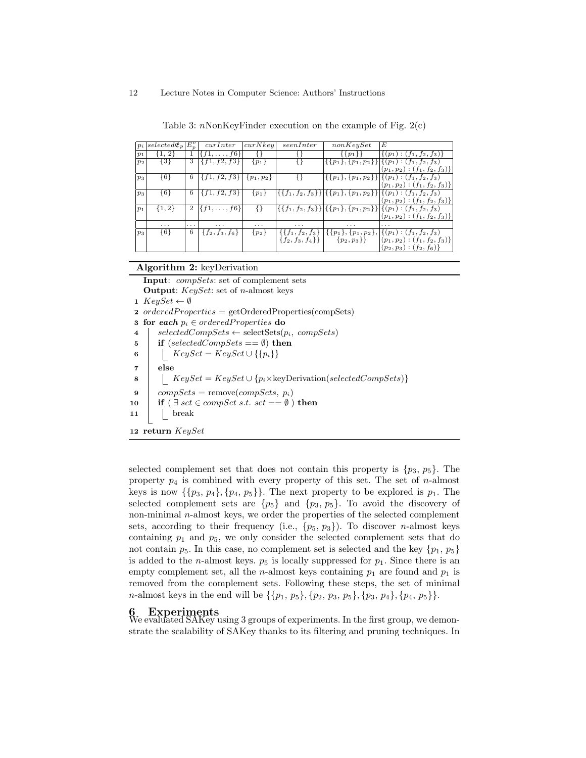| $p_i$          | $ selected\mathfrak{E}_p $ | $E_n^v$        | curInter             | $curN$ <sub>key</sub> | seenInter                | nonKeySet                   | E                                                                                   |
|----------------|----------------------------|----------------|----------------------|-----------------------|--------------------------|-----------------------------|-------------------------------------------------------------------------------------|
| p <sub>1</sub> | $\{1, 2\}$                 |                | $\{f1, \ldots, f6\}$ |                       |                          | $\{p_1\}$                   | $\{(p_1):(f_1,f_2,f_3)\}\$                                                          |
| $p_2$          | ${3}$                      | 3              | $\{f1, f2, f3\}$     | $\{p_1\}$             |                          |                             | $\{\{p_1\}, \{p_1, p_2\}\}\$ $\{ (p_1) : (f_1, f_2, f_3)$                           |
|                |                            |                |                      |                       |                          |                             | $(p_1, p_2) : (f_1, f_2, f_3)$                                                      |
| $p_3$          | ${6}$                      | 6              | $\{f1, f2, f3\}$     | $\{p_1,p_2\}$         |                          |                             | $\{\{p_1\}, \{p_1, p_2\}\}\$ $\{\{p_1\} : (f_1, f_2, f_3)\}$                        |
|                |                            |                |                      |                       |                          |                             | $(p_1, p_2) : (f_1, f_2, f_3)$                                                      |
| $p_3$          | ${6}$                      | 6              | $\{f1, f2, f3\}$     | $\{p_1\}$             |                          |                             | $\{\{f_1,f_2,f_3\}\}\$ $\{\{p_1\},\{p_1,p_2\}\}\$ $\{\{p_1\}: (f_1,f_2,f_3)$        |
|                |                            |                |                      |                       |                          |                             | $(p_1, p_2) : (f_1, f_2, f_3)$                                                      |
| p <sub>1</sub> | $\{1,2\}$                  | $\overline{2}$ | $\{f1, \ldots, f6\}$ |                       |                          |                             | $\{\{f_1, f_2, f_3\}\}\$ $\{\{p_1\}, \{p_1, p_2\}\}\$ $\{\{p_1\} : (f_1, f_2, f_3)$ |
|                |                            |                |                      |                       |                          |                             | $(p_1, p_2) : (f_1, f_2, f_3)$                                                      |
|                | $\cdots$                   | .              | .                    | .                     | $\cdots$                 | $\cdots$                    | $\cdots$                                                                            |
| $p_3$          | ${6}$                      | 6              | ${f_2, f_3, f_6}$    | $\{p_2\}$             | $\{\{f_1, f_2, f_3\}\}\$ | $\{\{p_1\}, \{p_1, p_2\},\$ | $\vert \{ (p_1) : (f_1, f_2, f_3) \}$                                               |
|                |                            |                |                      |                       | $\{f_2, f_3, f_4\}\}\$   | $\{p_2, p_3\}\}\$           | $(p_1, p_2) : (f_1, f_2, f_3)$                                                      |
|                |                            |                |                      |                       |                          |                             | $(p_2, p_3) : (f_2, f_6)$                                                           |

Table 3:  $n$ NonKeyFinder execution on the example of Fig.  $2(c)$ 

Algorithm 2: keyDerivation

Input: compSets: set of complement sets **Output:**  $KeySet: set of n-almost keys$ 1  $KeySet \leftarrow \emptyset$ 2 orderedProperties = getOrderedProperties(compSets) 3 for each  $p_i \in ordered Properties$  do 4 selectedCompSets  $\leftarrow$  selectSets(p<sub>i</sub>, compSets) 5 | if  $(selfedCompSets == \emptyset)$  then 6 | KeySet = KeySet ∪  $\{p_i\}$ 7 else 8 | KeySet = KeySet ∪ {p<sub>i</sub>×keyDerivation(selectedCompSets)} 9  $compsets = remove(compsets, p_i)$ 10 if  $(\exists set \in \textit{compSet} s.t. set == \emptyset)$  then  $11$  | break 12 return KeySet

selected complement set that does not contain this property is  $\{p_3, p_5\}$ . The property  $p_4$  is combined with every property of this set. The set of *n*-almost keys is now  $\{\{p_3, p_4\}, \{p_4, p_5\}\}\.$  The next property to be explored is  $p_1$ . The selected complement sets are  $\{p_5\}$  and  $\{p_3, p_5\}$ . To avoid the discovery of non-minimal n-almost keys, we order the properties of the selected complement sets, according to their frequency (i.e.,  $\{p_5, p_3\}$ ). To discover *n*-almost keys containing  $p_1$  and  $p_5$ , we only consider the selected complement sets that do not contain  $p_5$ . In this case, no complement set is selected and the key  $\{p_1, p_5\}$ is added to the *n*-almost keys.  $p_5$  is locally suppressed for  $p_1$ . Since there is an empty complement set, all the *n*-almost keys containing  $p_1$  are found and  $p_1$  is removed from the complement sets. Following these steps, the set of minimal *n*-almost keys in the end will be  $\{\{p_1, p_5\}, \{p_2, p_3, p_5\}, \{p_3, p_4\}, \{p_4, p_5\}\}.$ 

6 Experiments We evaluated SAKey using 3 groups of experiments. In the first group, we demonstrate the scalability of SAKey thanks to its filtering and pruning techniques. In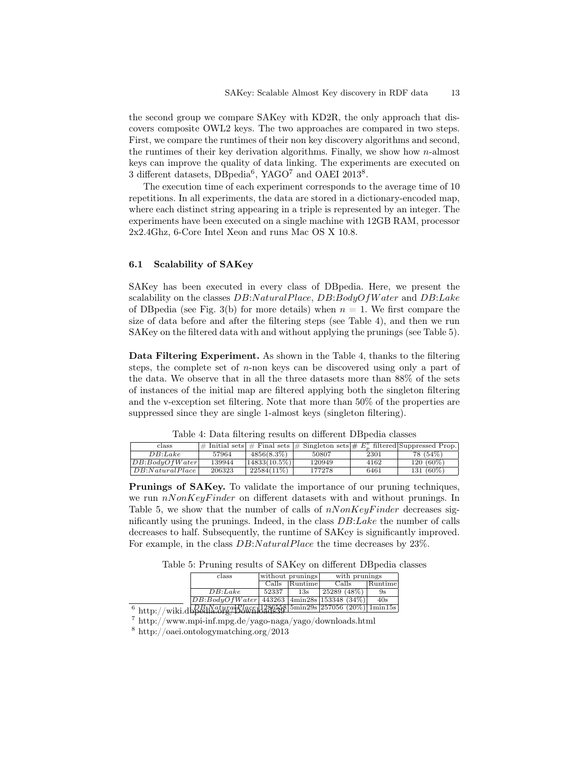the second group we compare SAKey with KD2R, the only approach that discovers composite OWL2 keys. The two approaches are compared in two steps. First, we compare the runtimes of their non key discovery algorithms and second, the runtimes of their key derivation algorithms. Finally, we show how  $n$ -almost keys can improve the quality of data linking. The experiments are executed on 3 different datasets, DBpedia<sup>6</sup>, YAGO<sup>7</sup> and OAEI  $2013^8$ .

The execution time of each experiment corresponds to the average time of 10 repetitions. In all experiments, the data are stored in a dictionary-encoded map, where each distinct string appearing in a triple is represented by an integer. The experiments have been executed on a single machine with 12GB RAM, processor 2x2.4Ghz, 6-Core Intel Xeon and runs Mac OS X 10.8.

### 6.1 Scalability of SAKey

SAKey has been executed in every class of DBpedia. Here, we present the scalability on the classes  $DB: Natural Place$ ,  $DB: BodyOfWater$  and  $DB: Lake$ of DB pedia (see Fig. 3(b) for more details) when  $n = 1$ . We first compare the size of data before and after the filtering steps (see Table 4), and then we run SAKey on the filtered data with and without applying the prunings (see Table 5).

Data Filtering Experiment. As shown in the Table 4, thanks to the filtering steps, the complete set of  $n$ -non keys can be discovered using only a part of the data. We observe that in all the three datasets more than 88% of the sets of instances of the initial map are filtered applying both the singleton filtering and the v-exception set filtering. Note that more than 50% of the properties are suppressed since they are single 1-almost keys (singleton filtering).

Table 4: Data filtering results on different DBpedia classes

| class             |        |                   |        |      | $\#$ Initial sets $\#$ Final sets $\#$ Singleton sets $\# E_{\alpha}^{\circ}$ filtered Suppressed Prop. |
|-------------------|--------|-------------------|--------|------|---------------------------------------------------------------------------------------------------------|
| DB: Lake          | 57964  | 4856(8.3%)        | 50807  | 2301 | 78 (54%)                                                                                                |
| DB: BodyOfWater   | 139944 | $ 14833(10.5\%) $ | 120949 | 4162 | $120(60\%)$                                                                                             |
| DB: Natural Place | 206323 | $22584(11\%)$     | 177278 | 6461 | 131 (60%)                                                                                               |

Prunings of SAKey. To validate the importance of our pruning techniques, we run  $nNonKeyFinder$  on different datasets with and without prunings. In Table 5, we show that the number of calls of  $nNonKeyFinder$  decreases significantly using the prunings. Indeed, in the class  $DB: Lake$  the number of calls decreases to half. Subsequently, the runtime of SAKey is significantly improved. For example, in the class  $DB: Natural Place$  the time decreases by 23%.

Table 5: Pruning results of SAKey on different DBpedia classes

|            | class                                                      |               | without prunings | with prunings |         |  |  |
|------------|------------------------------------------------------------|---------------|------------------|---------------|---------|--|--|
|            |                                                            | Calls Runtime |                  | CaIls         | Runtime |  |  |
|            | DB: Lake                                                   | 52337         | 13s              | 25289 (48%)   | 9s      |  |  |
|            | $ DB:BodyOfWater $ 443263   4min28s   153348 (34%)         |               |                  |               | 40s     |  |  |
| $6$ http:/ | /wiki.dbpedia.org/Downdads338 5min29s 257056 (20%) 1min15s |               |                  |               |         |  |  |

<sup>7</sup> http://www.mpi-inf.mpg.de/yago-naga/yago/downloads.html

<sup>8</sup> http://oaei.ontologymatching.org/2013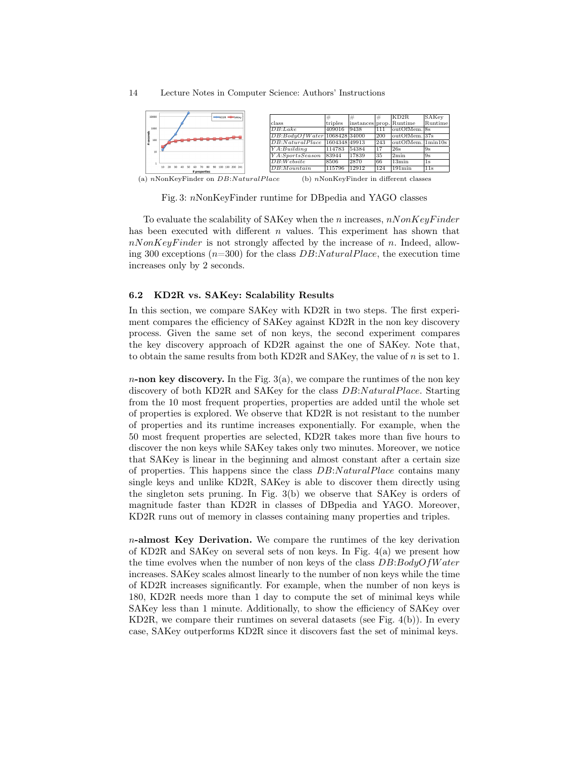

Fig. 3: nNonKeyFinder runtime for DBpedia and YAGO classes

To evaluate the scalability of SAKey when the n increases,  $nNonKeyFinder$ has been executed with different  $n$  values. This experiment has shown that  $nNonKeyFinder$  is not strongly affected by the increase of n. Indeed, allowing 300 exceptions  $(n=300)$  for the class  $DB: Natural Place$ , the execution time increases only by 2 seconds.

#### 6.2 KD2R vs. SAKey: Scalability Results

In this section, we compare SAKey with KD2R in two steps. The first experiment compares the efficiency of SAKey against KD2R in the non key discovery process. Given the same set of non keys, the second experiment compares the key discovery approach of KD2R against the one of SAKey. Note that, to obtain the same results from both KD2R and SAKey, the value of n is set to 1.

 $n$ -non key discovery. In the Fig. 3(a), we compare the runtimes of the non key discovery of both KD2R and SAKey for the class  $DB: Natural Place. Starting$ from the 10 most frequent properties, properties are added until the whole set of properties is explored. We observe that KD2R is not resistant to the number of properties and its runtime increases exponentially. For example, when the 50 most frequent properties are selected, KD2R takes more than five hours to discover the non keys while SAKey takes only two minutes. Moreover, we notice that SAKey is linear in the beginning and almost constant after a certain size of properties. This happens since the class  $DB: Natural Place$  contains many single keys and unlike KD2R, SAKey is able to discover them directly using the singleton sets pruning. In Fig. 3(b) we observe that SAKey is orders of magnitude faster than KD2R in classes of DBpedia and YAGO. Moreover, KD2R runs out of memory in classes containing many properties and triples.

 $n$ -almost Key Derivation. We compare the runtimes of the key derivation of KD2R and SAKey on several sets of non keys. In Fig. 4(a) we present how the time evolves when the number of non keys of the class  $DB: BodyOfWater$ increases. SAKey scales almost linearly to the number of non keys while the time of KD2R increases significantly. For example, when the number of non keys is 180, KD2R needs more than 1 day to compute the set of minimal keys while SAKey less than 1 minute. Additionally, to show the efficiency of SAKey over KD2R, we compare their runtimes on several datasets (see Fig. 4(b)). In every case, SAKey outperforms KD2R since it discovers fast the set of minimal keys.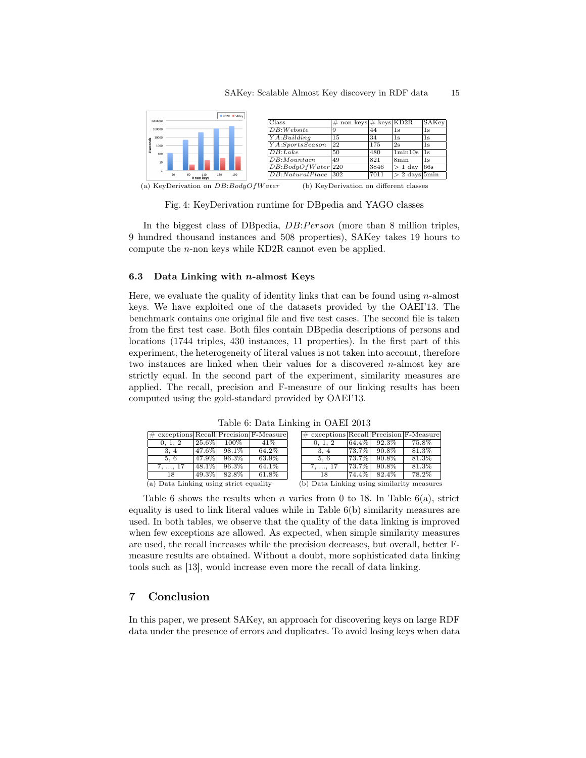|                  |    |    |                   |     | <b>KD2R SAKev</b> |                                  |                        |      |             |       |
|------------------|----|----|-------------------|-----|-------------------|----------------------------------|------------------------|------|-------------|-------|
| 1000000          |    |    |                   |     |                   | Class                            | # non keys # keys KD2R |      |             | SAKey |
| 100000           |    |    |                   |     |                   | DB: We b site                    |                        | 44   | 1s          | 1s    |
| 10000<br>음       |    |    |                   |     |                   | YA:Building                      | 15                     | 34   | 1s          | 1s    |
| 1000             |    |    |                   |     |                   | YA:SportsSeason                  | 22                     | 175  | 2s          | 1s    |
| $\bullet$<br>100 |    |    |                   |     |                   | DB: Lake                         | 50                     | 480  | 1min10s     | 1s    |
| 10               |    |    |                   |     |                   | DB: Mountain                     | 49                     | 821  | 8min        | 1s    |
|                  |    |    |                   |     |                   | $DB: BodyOfWater$ <sub>220</sub> |                        | 3846 | 1 dav       | 66s   |
|                  | 20 | 60 | 110<br># non keys | 150 | 190               | DB: Natural Place                | $ 302\rangle$          | 7011 | 2 days 5min |       |
|                  |    |    |                   |     |                   |                                  |                        |      |             |       |

(a) KeyDerivation on  $DB: BodyOfWater$  (b) KeyDerivation on different classes

Fig. 4: KeyDerivation runtime for DBpedia and YAGO classes

In the biggest class of DBpedia,  $DB: Person$  (more than 8 million triples, 9 hundred thousand instances and 508 properties), SAKey takes 19 hours to compute the n-non keys while KD2R cannot even be applied.

#### 6.3 Data Linking with *n*-almost Keys

Here, we evaluate the quality of identity links that can be found using  $n$ -almost keys. We have exploited one of the datasets provided by the OAEI'13. The benchmark contains one original file and five test cases. The second file is taken from the first test case. Both files contain DBpedia descriptions of persons and locations (1744 triples, 430 instances, 11 properties). In the first part of this experiment, the heterogeneity of literal values is not taken into account, therefore two instances are linked when their values for a discovered n-almost key are strictly equal. In the second part of the experiment, similarity measures are applied. The recall, precision and F-measure of our linking results has been computed using the gold-standard provided by OAEI'13.

| $#$ exceptions Recall Precision F-Measure |          |          |                   | $\#$ exceptions Recall Precision F-Measure |          |          |       |
|-------------------------------------------|----------|----------|-------------------|--------------------------------------------|----------|----------|-------|
| 0, 1, 2                                   | $25.6\%$ | $100\%$  | $\overline{41}\%$ | 0, 1, 2                                    | $64.4\%$ | $92.3\%$ | 75.8% |
| 3, 4                                      | 47.6%    | 98.1%    | 64.2%             | 3, 4                                       | 73.7%    | $90.8\%$ | 81.3% |
| 5.6                                       | 47.9%    | $96.3\%$ | 63.9%             | 5.6                                        | $73.7\%$ | 90.8%    | 81.3% |
| $7, \ldots, 17$                           | $48.1\%$ | $96.3\%$ | 64.1%             | $7, \ldots, 17$                            | 73.7%    | 90.8%    | 81.3% |
| 18                                        | $49.3\%$ | 82.8%    | 61.8%             | 18                                         | 74.4%    | 82.4%    | 78.2% |
| (a) Data Linking using strict equality    |          |          |                   | (b) Data Linking using similarity measure  |          |          |       |

Table 6: Data Linking in OAEI 2013

Table 6 shows the results when *n* varies from 0 to 18. In Table 6(a), strict equality is used to link literal values while in Table  $6(b)$  similarity measures are used. In both tables, we observe that the quality of the data linking is improved when few exceptions are allowed. As expected, when simple similarity measures are used, the recall increases while the precision decreases, but overall, better Fmeasure results are obtained. Without a doubt, more sophisticated data linking tools such as [13], would increase even more the recall of data linking.

# 7 Conclusion

In this paper, we present SAKey, an approach for discovering keys on large RDF data under the presence of errors and duplicates. To avoid losing keys when data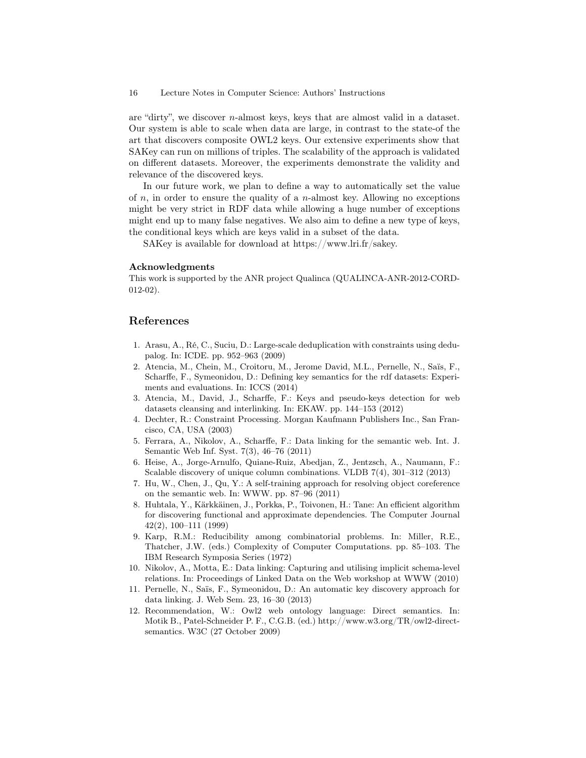are "dirty", we discover n-almost keys, keys that are almost valid in a dataset. Our system is able to scale when data are large, in contrast to the state-of the art that discovers composite OWL2 keys. Our extensive experiments show that SAKey can run on millions of triples. The scalability of the approach is validated on different datasets. Moreover, the experiments demonstrate the validity and relevance of the discovered keys.

In our future work, we plan to define a way to automatically set the value of  $n$ , in order to ensure the quality of a *n*-almost key. Allowing no exceptions might be very strict in RDF data while allowing a huge number of exceptions might end up to many false negatives. We also aim to define a new type of keys, the conditional keys which are keys valid in a subset of the data.

SAKey is available for download at https://www.lri.fr/sakey.

#### Acknowledgments

This work is supported by the ANR project Qualinca (QUALINCA-ANR-2012-CORD-012-02).

# References

- 1. Arasu, A., Ré, C., Suciu, D.: Large-scale deduplication with constraints using dedupalog. In: ICDE. pp. 952–963 (2009)
- 2. Atencia, M., Chein, M., Croitoru, M., Jerome David, M.L., Pernelle, N., Saïs, F., Scharffe, F., Symeonidou, D.: Defining key semantics for the rdf datasets: Experiments and evaluations. In: ICCS (2014)
- 3. Atencia, M., David, J., Scharffe, F.: Keys and pseudo-keys detection for web datasets cleansing and interlinking. In: EKAW. pp. 144–153 (2012)
- 4. Dechter, R.: Constraint Processing. Morgan Kaufmann Publishers Inc., San Francisco, CA, USA (2003)
- 5. Ferrara, A., Nikolov, A., Scharffe, F.: Data linking for the semantic web. Int. J. Semantic Web Inf. Syst. 7(3), 46–76 (2011)
- 6. Heise, A., Jorge-Arnulfo, Quiane-Ruiz, Abedjan, Z., Jentzsch, A., Naumann, F.: Scalable discovery of unique column combinations. VLDB 7(4), 301–312 (2013)
- 7. Hu, W., Chen, J., Qu, Y.: A self-training approach for resolving object coreference on the semantic web. In: WWW. pp. 87–96 (2011)
- 8. Huhtala, Y., Kärkkäinen, J., Porkka, P., Toivonen, H.: Tane: An efficient algorithm for discovering functional and approximate dependencies. The Computer Journal 42(2), 100–111 (1999)
- 9. Karp, R.M.: Reducibility among combinatorial problems. In: Miller, R.E., Thatcher, J.W. (eds.) Complexity of Computer Computations. pp. 85–103. The IBM Research Symposia Series (1972)
- 10. Nikolov, A., Motta, E.: Data linking: Capturing and utilising implicit schema-level relations. In: Proceedings of Linked Data on the Web workshop at WWW (2010)
- 11. Pernelle, N., Saïs, F., Symeonidou, D.: An automatic key discovery approach for data linking. J. Web Sem. 23, 16–30 (2013)
- 12. Recommendation, W.: Owl2 web ontology language: Direct semantics. In: Motik B., Patel-Schneider P. F., C.G.B. (ed.) http://www.w3.org/TR/owl2-directsemantics. W3C (27 October 2009)